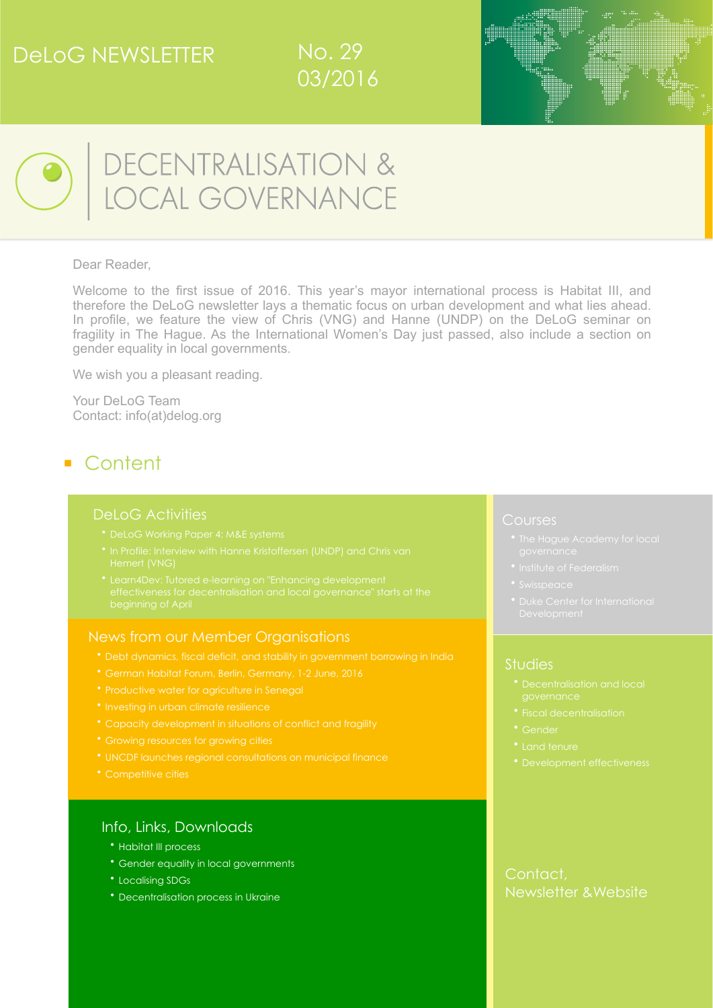# DeLoG NEWSLETTER







■

# DECENTRALISATION &<br>LOCAL GOVERNANCE

#### Dear Reader,

Welcome to the first issue of 2016. This year's mayor international process is Habitat III, and therefore the DeLoG newsletter lays a thematic focus on urban development and what lies ahead. In profile, we feature the view of Chris (VNG) and Hanne (UNDP) on the DeLoG seminar on fragility in The Hague. As the International Women's Day just passed, also include a section on gender equality in local governments.

We wish you a pleasant reading.

Your DeLoG Team Contact: [info\(at\)delog.org](mailto:info@delog.org)

# ■ Content

#### [DeLoG Activities](#page-1-0)

- 
- 
- 

#### News from our Member Organisations

- 
- 
- [Productive water for agriculture in Senegal](#page-3-0)
- 
- 
- 
- [UNCDF launches regional consultations on municipal finance](#page-4-1)
- [Competitive cities](#page-4-2)

#### [Info, Links, Downloads](#page-4-0)

- Habitat III process
- [Gender equality in local governments](#page-6-0)
- [Localising SDGs](#page-6-1)
- [Decentralisation process in Ukraine](#page-6-2)

#### Courses

- 
- 
- 
- 

#### [Studies](#page-8-0)

- [•](#page-8-0) [Decentralisation and local](#page-8-0)
- 
- [Gender](#page-9-1)
- 
- 

## [Contact,](#page-10-2)  [Newsletter &Website](#page-10-2)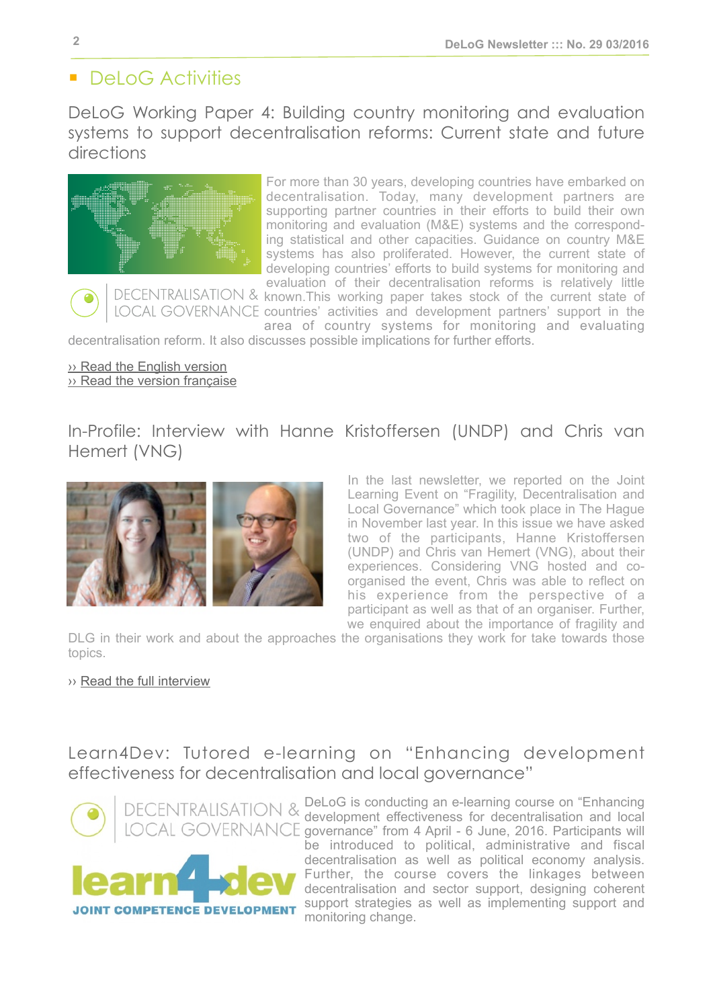# <span id="page-1-0"></span>■ DeLoG Activities

<span id="page-1-1"></span>DeLoG Working Paper 4: Building country monitoring and evaluation systems to support decentralisation reforms: Current state and future directions



For more than 30 years, developing countries have embarked on decentralisation. Today, many development partners are supporting partner countries in their efforts to build their own monitoring and evaluation (M&E) systems and the corresponding statistical and other capacities. Guidance on country M&E systems has also proliferated. However, the current state of developing countries' efforts to build systems for monitoring and evaluation of their decentralisation reforms is relatively little DECENTRALISATION & known.This working paper takes stock of the current state of

LOCAL GOVERNANCE countries' activities and development partners' support in the area of country systems for monitoring and evaluating decentralisation reform. It also discusses possible implications for further efforts.

[›› Read the English version](http://delog.org/web/wp-content/uploads/2016/03/DeLoG_Working_Paper_4_E_tags.pdf)

[›› Read the version française](http://delog.org/web/wp-content/uploads/2016/03/DeLoG_Working_Paper_4_F_tags.pdf)

<span id="page-1-2"></span>In-Profile: Interview with Hanne Kristoffersen (UNDP) and Chris van Hemert (VNG)



In the last newsletter, we reported on the Joint Learning Event on "Fragility, Decentralisation and Local Governance" which took place in The Hague in November last year. In this issue we have asked two of the participants, Hanne Kristoffersen (UNDP) and Chris van Hemert (VNG), about their experiences. Considering VNG hosted and coorganised the event, Chris was able to reflect on his experience from the perspective of a participant as well as that of an organiser. Further, we enquired about the importance of fragility and

DLG in their work and about the approaches the organisations they work for take towards those topics.

›› [Read the full interview](http://delog.org/web/wp-content/uploads/2016/03/NL29-Interview.pdf)

Learn4Dev: Tutored e-learning on "Enhancing development effectiveness for decentralisation and local governance"



DECENTRALISATION & DeLoG is conducting an e-learning course on "Enhancing development effectiveness for decentralisation and local LOCAL GOVERNANCE governance" from 4 April - 6 June, 2016. Participants will be introduced to political, administrative and fiscal decentralisation as well as political economy analysis. Further, the course covers the linkages between decentralisation and sector support, designing coherent support strategies as well as implementing support and T COMPETENCE DEVELOPMENT monitoring change.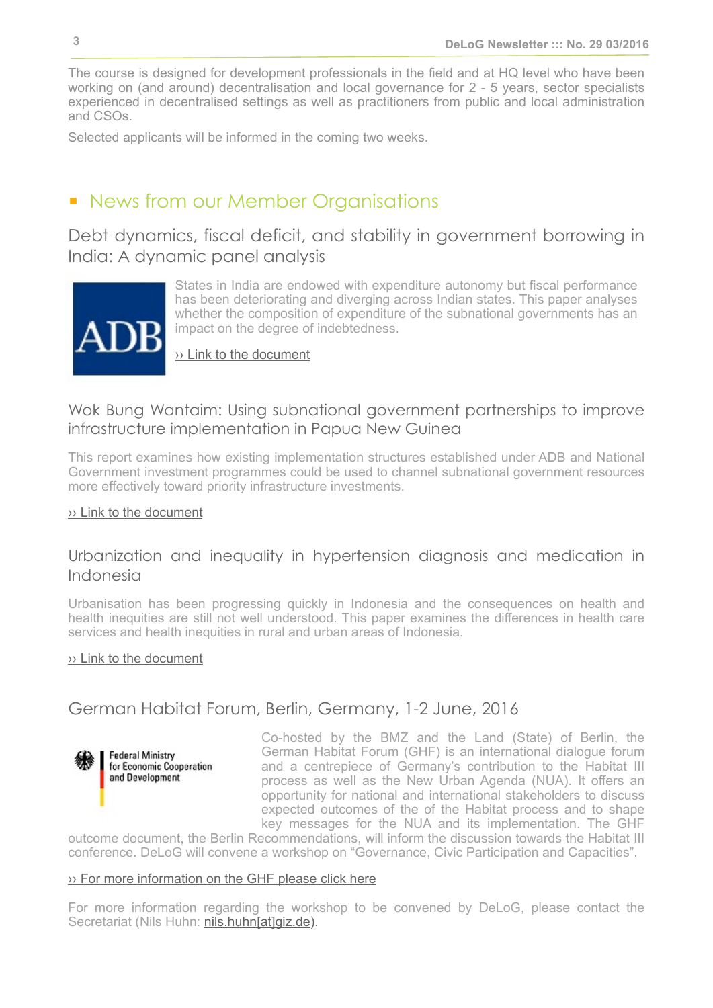The course is designed for development professionals in the field and at HQ level who have been working on (and around) decentralisation and local governance for 2 - 5 years, sector specialists experienced in decentralised settings as well as practitioners from public and local administration and CSOs.

Selected applicants will be informed in the coming two weeks.

## ■ News from our Member Organisations

<span id="page-2-0"></span>Debt dynamics, fiscal deficit, and stability in government borrowing in India: A dynamic panel analysis



States in India are endowed with expenditure autonomy but fiscal performance has been deteriorating and diverging across Indian states. This paper analyses whether the composition of expenditure of the subnational governments has an impact on the degree of indebtedness.

[›› Link to the document](http://www.adb.org/publications/debt-dynamics-fiscal-deficit-and-stability-government-borrowing-india-dynamic-panel)

## Wok Bung Wantaim: Using subnational government partnerships to improve infrastructure implementation in Papua New Guinea

This report examines how existing implementation structures established under ADB and National Government investment programmes could be used to channel subnational government resources more effectively toward priority infrastructure investments.

#### [›› Link to the document](http://www.adb.org/publications/wok-bung-wantaim-subnational-government-partnerships-infrastructure-implementation-png)

## Urbanization and inequality in hypertension diagnosis and medication in Indonesia

Urbanisation has been progressing quickly in Indonesia and the consequences on health and health inequities are still not well understood. This paper examines the differences in health care services and health inequities in rural and urban areas of Indonesia.

#### [›› Link to the document](http://www.adb.org/publications/urbanization-and-inequality-hypertension-diagnosis-and-medication-indonesia)

## <span id="page-2-1"></span>German Habitat Forum, Berlin, Germany, 1-2 June, 2016



Co-hosted by the BMZ and the Land (State) of Berlin, the German Habitat Forum (GHF) is an international dialogue forum and a centrepiece of Germany's contribution to the Habitat III process as well as the New Urban Agenda (NUA). It offers an opportunity for national and international stakeholders to discuss expected outcomes of the of the Habitat process and to shape key messages for the NUA and its implementation. The GHF

outcome document, the Berlin Recommendations, will inform the discussion towards the Habitat III conference. DeLoG will convene a workshop on "Governance, Civic Participation and Capacities".

#### [›› For more information on the GHF please click here](http://www.german-habitat-forum.de/english/)

For more information regarding the workshop to be convened by DeLoG, please contact the Secretariat (Nils Huhn: nils.huhn[at]qiz.de).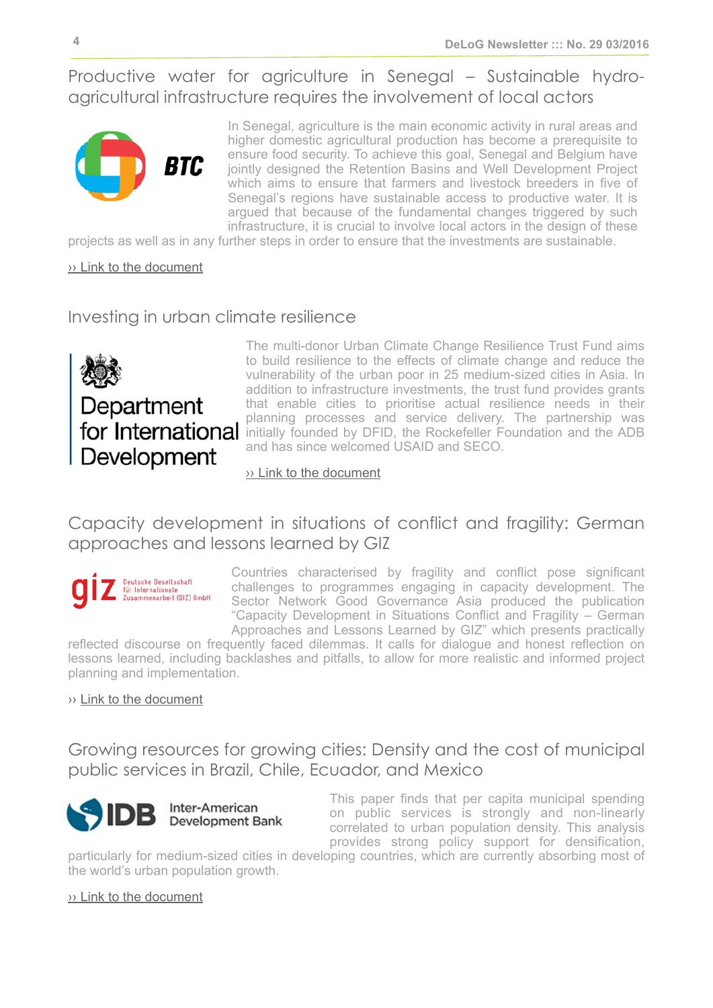<span id="page-3-0"></span>Productive water for agriculture in Senegal – Sustainable hydroagricultural infrastructure requires the involvement of local actors



In Senegal, agriculture is the main economic activity in rural areas and higher domestic agricultural production has become a prerequisite to ensure food security. To achieve this goal, Senegal and Belgium have jointly designed the Retention Basins and Well Development Project which aims to ensure that farmers and livestock breeders in five of Senegal's regions have sustainable access to productive water. It is argued that because of the fundamental changes triggered by such infrastructure, it is crucial to involve local actors in the design of these

projects as well as in any further steps in order to ensure that the investments are sustainable.

[›› Link to the document](http://www.btcctb.org/en/news/productive-water-agriculture-senegal-sustainable-hydro-agricultural-infrastructure-requires)

## <span id="page-3-1"></span>Investing in urban climate resilience



The multi-donor Urban Climate Change Resilience Trust Fund aims to build resilience to the effects of climate change and reduce the vulnerability of the urban poor in 25 medium-sized cities in Asia. In addition to infrastructure investments, the trust fund provides grants that enable cities to prioritise actual resilience needs in their planning processes and service delivery. The partnership was for International initially founded by DFID, the Rockefeller Foundation and the ADB and has since welcomed USAID and SECO.

#### [›› Link to the document](https://www.gov.uk/government/publications/investing-in-urban-climate-resilience)

## <span id="page-3-2"></span>Capacity development in situations of conflict and fragility: German approaches and lessons learned by GIZ



Countries characterised by fragility and conflict pose significant challenges to programmes engaging in capacity development. The Sector Network Good Governance Asia produced the publication "Capacity Development in Situations Conflict and Fragility – German Approaches and Lessons Learned by GIZ" which presents practically

reflected discourse on frequently faced dilemmas. It calls for dialogue and honest reflection on lessons learned, including backlashes and pitfalls, to allow for more realistic and informed project planning and implementation.

#### ›› [Link to the document](http://star-www.giz.de/fetch/bIkdwqg2600Q000bXv/giz2015-0444en-capacity-development-conflict-fragility.pdf)

<span id="page-3-3"></span>Growing resources for growing cities: Density and the cost of municipal public services in Brazil, Chile, Ecuador, and Mexico



This paper finds that per capita municipal spending on public services is strongly and non-linearly correlated to urban population density. This analysis provides strong policy support for densification,

particularly for medium-sized cities in developing countries, which are currently absorbing most of the world's urban population growth.

#### [›› Link to the document](https://publications.iadb.org/handle/11319/7332)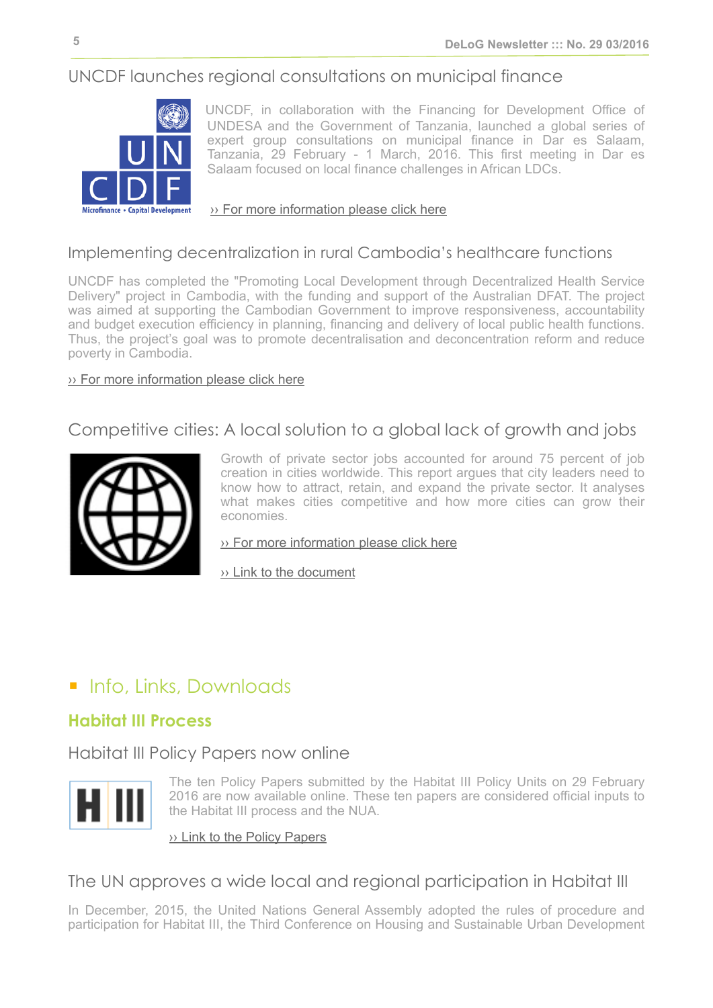## <span id="page-4-1"></span>UNCDF launches regional consultations on municipal finance



UNCDF, in collaboration with the Financing for Development Office of UNDESA and the Government of Tanzania, launched a global series of expert group consultations on municipal finance in Dar es Salaam, Tanzania, 29 February - 1 March, 2016. This first meeting in Dar es Salaam focused on local finance challenges in African LDCs.

#### [›› For more information please click here](http://www.uncdf.org/en/uncdf-launches-regional-consultations-municipal-finance)

## Implementing decentralization in rural Cambodia's healthcare functions

UNCDF has completed the "Promoting Local Development through Decentralized Health Service Delivery" project in Cambodia, with the funding and support of the Australian DFAT. The project was aimed at supporting the Cambodian Government to improve responsiveness, accountability and budget execution efficiency in planning, financing and delivery of local public health functions. Thus, the project's goal was to promote decentralisation and deconcentration reform and reduce poverty in Cambodia.

#### [›› For more information please click here](http://www.uncdf.org/en/implementing-decentralization-rural-cambodias-healthcare-functions)

## <span id="page-4-2"></span>Competitive cities: A local solution to a global lack of growth and jobs



Growth of private sector jobs accounted for around 75 percent of job creation in cities worldwide. This report argues that city leaders need to know how to attract, retain, and expand the private sector. It analyses what makes cities competitive and how more cities can grow their economies.

[›› For more information please click here](http://www.worldbank.org/en/topic/trade/publication/competitive-cities-a-local-solution-to-a-global-lack-of-growth-and-jobs)

[›› Link to the document](http://documents.worldbank.org/curated/en/2015/12/25515215/competitive-cities-jobs-growth)

# <span id="page-4-0"></span>■ Info, Links, Downloads

## **Habitat III Process**

Habitat III Policy Papers now online



The ten Policy Papers submitted by the Habitat III Policy Units on 29 February 2016 are now available online. These ten papers are considered official inputs to the Habitat III process and the NUA.

#### $\rightarrow$  [Link to the Policy Papers](https://www.habitat3.org/the-new-urban-agenda/policy)

## The UN approves a wide local and regional participation in Habitat III

In December, 2015, the United Nations General Assembly adopted the rules of procedure and participation for Habitat III, the Third Conference on Housing and Sustainable Urban Development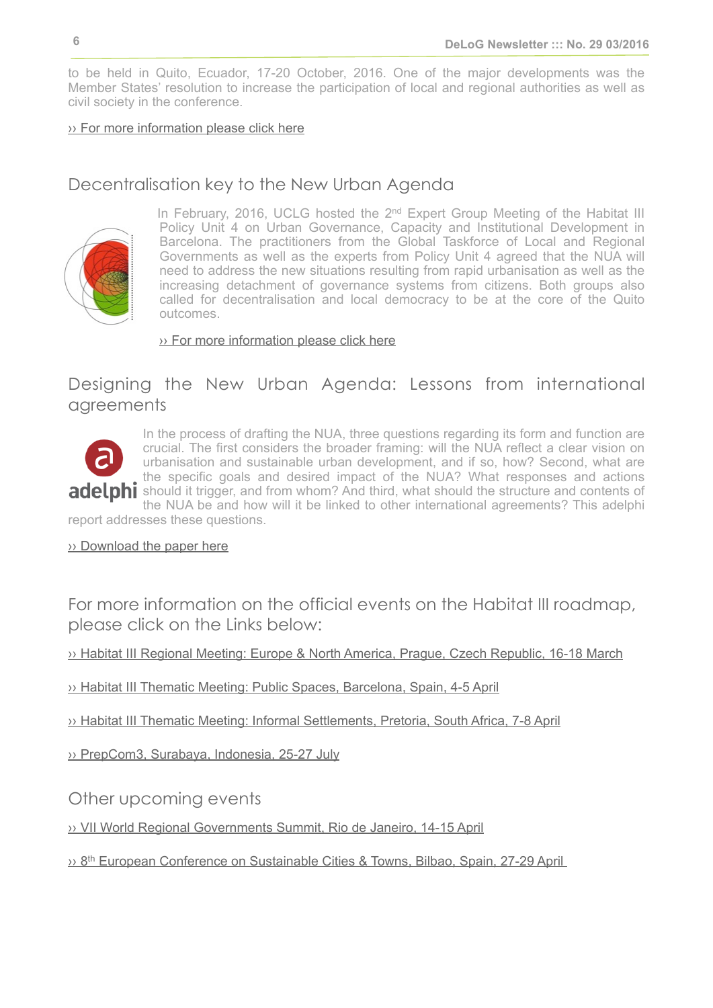to be held in Quito, Ecuador, 17-20 October, 2016. One of the major developments was the Member States' resolution to increase the participation of local and regional authorities as well as civil society in the conference.

#### [›› For more information please click here](http://www.regionsunies-fogar.org/en/media-files/news/153-la-onu-aprueba-una-amplia-participacion-local-y-regional-en-habitat-iii)

## Decentralisation key to the New Urban Agenda



In February, 2016, UCLG hosted the 2<sup>nd</sup> Expert Group Meeting of the Habitat III Policy Unit 4 on Urban Governance, Capacity and Institutional Development in Barcelona. The practitioners from the Global Taskforce of Local and Regional Governments as well as the experts from Policy Unit 4 agreed that the NUA will need to address the new situations resulting from rapid urbanisation as well as the increasing detachment of governance systems from citizens. Both groups also called for decentralisation and local democracy to be at the core of the Quito outcomes.

[›› For more information please click here](http://www.uclg.org/en/media/news/new-governance-key-new-urban-agenda)

## Designing the New Urban Agenda: Lessons from international agreements



In the process of drafting the NUA, three questions regarding its form and function are crucial. The first considers the broader framing: will the NUA reflect a clear vision on urbanisation and sustainable urban development, and if so, how? Second, what are the specific goals and desired impact of the NUA? What responses and actions adelphi should it trigger, and from whom? And third, what should the structure and contents of the NUA be and how will it be linked to other international agreements? This adelphi

report addresses these questions.

›› [Download the paper here](https://www.adelphi.de/en/publication/designing-new-urban-agenda-lessons-international-agreements)

For more information on the official events on the Habitat III roadmap, please click on the Links below:

›› [Habitat III Regional Meeting: Europe & North America, Prague, Czech Republic, 16-18 March](https://www.habitat3.org/prague)

›› [Habitat III Thematic Meeting: Public Spaces, Barcelona, Spain, 4-5 April](https://www.habitat3.org/barcelona)

›› [Habitat III Thematic Meeting: Informal Settlements, Pretoria, South Africa, 7-8 April](https://www.habitat3.org/johannesburg)

›› [PrepCom3, Surabaya, Indonesia, 25-27 July](https://www.habitat3.org/the-new-urban-agenda/preparatory-committee)

Other upcoming events

›› [VII World Regional Governments Summit, Rio de Janeiro, 14-15 April](http://www.regionsunies-fogar.org/en/media-files/news/172-lideres-regionales-de-todo-el-mundo-se-citaran-en-la-vii-cumbre-de-gobiernos-regionales)

›› [8th European Conference on Sustainable Cities & Towns, Bilbao, Spain, 27-29 April](http://www.iclei-europe.org/events/?cmd=view&uid=289c3ef5&ref=home)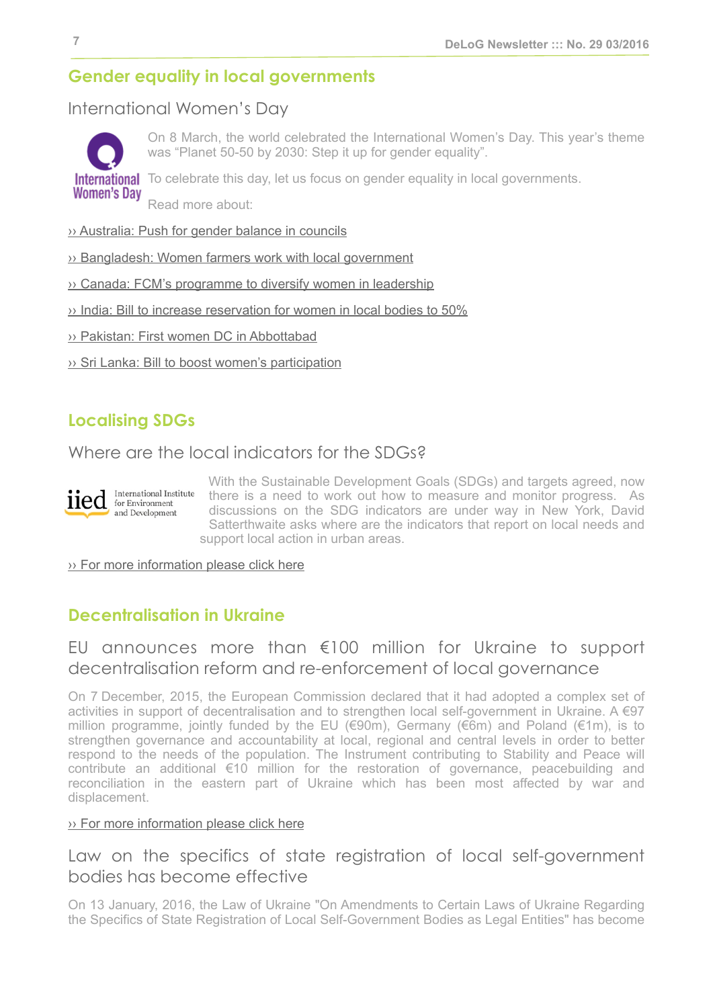## <span id="page-6-0"></span>**Gender equality in local governments**

## International Women's Day



On 8 March, the world celebrated the International Women's Day. This year's theme was "Planet 50-50 by 2030: Step it up for gender equality".

International To celebrate this day, let us focus on gender equality in local governments.

Read more about:

#### [›› Australia: Push for gender balance in councils](http://www.heraldsun.com.au/leader/north-west/state-government-pushes-for-gender-balance-on-victorian-councils/news-story/92e53471afde641b2a7b075dfa761e6d)

- [›› Bangladesh: Women farmers work with local government](http://www.eco-business.com/opinion/in-asia-supporting-women-farmers-crucial-to-fighting-poverty-hunger-and-climate-change/)
- [›› Canada: FCM's programme to diversify women in leadership](http://www.fcm.ca/home/programs/women-in-local-government/diverse-voices-for-change.htm)
- [›› India: Bill to increase reservation for women in local bodies to 50%](http://economictimes.indiatimes.com/news/politics-and-nation/government-to-bring-bill-to-increase-reservation-for-women-in-local-bodies-to-50/articleshow/51217519.cms?utm_source=contentofinterest&utm_medium=text&utm_campaign=cppst%20)
- [›› Pakistan: First women DC in Abbottabad](http://tribune.com.pk/story/1045734/women-in-power-ammara-khattak-becomes-first-woman-dc-of-abbottabad/)
- [›› Sri Lanka: Bill to boost women's participation](http://www.vivalanka.com/newspage/1816385ai-bill-aimed-boosting-female-representation-local-government-presented-parliament)

## <span id="page-6-1"></span>**Localising SDGs**

Where are the local indicators for the SDGs?



With the Sustainable Development Goals (SDGs) and targets agreed, now there is a need to work out how to measure and monitor progress. As discussions on the SDG indicators are under way in New York, David Satterthwaite asks where are the indicators that report on local needs and support local action in urban areas.

›› [For more information please click here](http://www.iied.org/where-are-local-indicators-for-sdgs)

## <span id="page-6-2"></span>**Decentralisation in Ukraine**

## EU announces more than €100 million for Ukraine to support decentralisation reform and re-enforcement of local governance

On 7 December, 2015, the European Commission declared that it had adopted a complex set of activities in support of decentralisation and to strengthen local self-government in Ukraine. A €97 million programme, jointly funded by the EU (€90m), Germany (€6m) and Poland (€1m), is to strengthen governance and accountability at local, regional and central levels in order to better respond to the needs of the population. The Instrument contributing to Stability and Peace will contribute an additional €10 million for the restoration of governance, peacebuilding and reconciliation in the eastern part of Ukraine which has been most affected by war and displacement.

#### ›› [For more information please click here](http://europa.eu/rapid/press-release_IP-15-6263_en.htm?locale=en)

## Law on the specifics of state registration of local self-government bodies has become effective

On 13 January, 2016, the Law of Ukraine "On Amendments to Certain Laws of Ukraine Regarding the Specifics of State Registration of Local Self-Government Bodies as Legal Entities" has become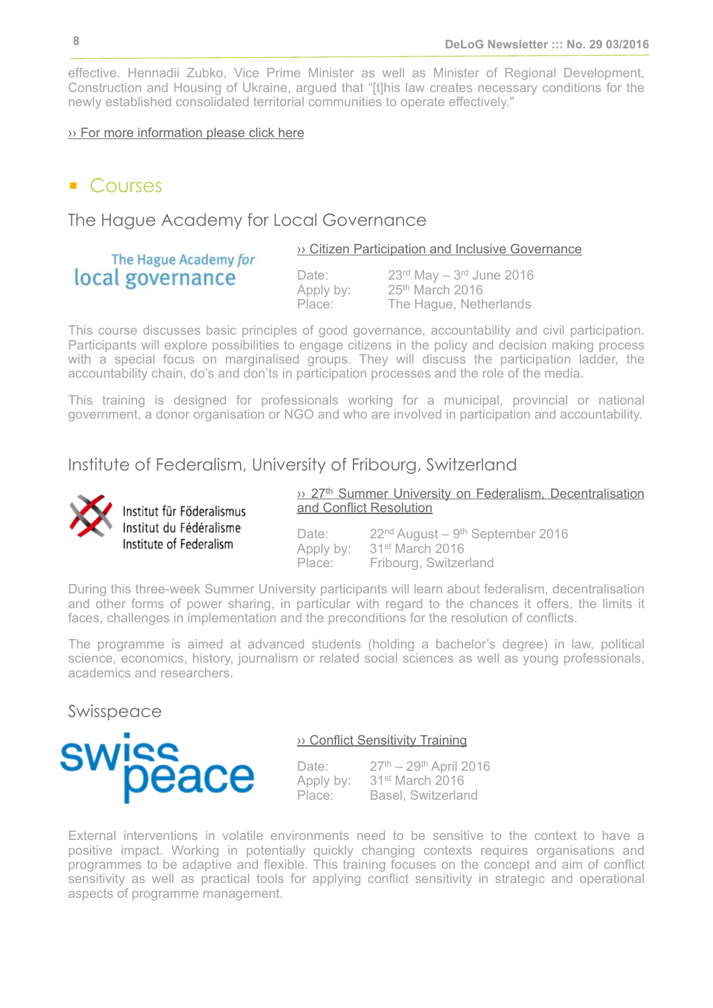effective. Hennadii Zubko, Vice Prime Minister as well as Minister of Regional Development, Construction and Housing of Ukraine, argued that "[t]his law creates necessary conditions for the newly established consolidated territorial communities to operate effectively."

#### [›› For more information please click here](http://decentralization.gov.ua/en/news/item/id/1503)

The Hague Academy for

local governance

## ■ Courses

<span id="page-7-0"></span>The Hague Academy for Local Governance

›› [Citizen Participation and Inclusive Governance](http://thehagueacademy.com/blog/2015/05/citizen-participation-and-inclusive-governance/)

Apply by: 25<sup>th</sup> March 2016

Date:  $23<sup>rd</sup>$  May  $-3<sup>rd</sup>$  June 2016 Place: The Hague, Netherlands

This course discusses basic principles of good governance, accountability and civil participation. Participants will explore possibilities to engage citizens in the policy and decision making process with a special focus on marginalised groups. They will discuss the participation ladder, the accountability chain, do's and don'ts in participation processes and the role of the media.

This training is designed for professionals working for a municipal, provincial or national government, a donor organisation or NGO and who are involved in participation and accountability.

<span id="page-7-1"></span>Institute of Federalism, University of Fribourg, Switzerland



Institut für Föderalismus Institut du Fédéralisme Institute of Federalism

<sup>3</sup>>> 27<sup>th</sup> Summer University on Federalism, Decentralisation [and Conflict Resolution](http://www.unifr.ch/ius/federalism_en/capacity_building/summer_university)

Date: 22<sup>nd</sup> August – 9<sup>th</sup> September 2016 Apply by: 31<sup>st</sup> March 2016<br>Place: Fribourg Switzer Fribourg, Switzerland

During this three-week Summer University participants will learn about federalism, decentralisation and other forms of power sharing, in particular with regard to the chances it offers, the limits it faces, challenges in implementation and the preconditions for the resolution of conflicts.

The programme is aimed at advanced students (holding a bachelor's degree) in law, political science, economics, history, journalism or related social sciences as well as young professionals, academics and researchers.

<span id="page-7-2"></span>Swisspeace



#### ›› [Conflict Sensitivity Training](http://www.swisspeace.ch/courses/individual-courses/conflict-sensitivity.html)

Date: 27<sup>th</sup> – 29<sup>th</sup> April 2016 Apply by: 31st March 2016 Place: Basel, Switzerland

External interventions in volatile environments need to be sensitive to the context to have a positive impact. Working in potentially quickly changing contexts requires organisations and programmes to be adaptive and flexible. This training focuses on the concept and aim of conflict sensitivity as well as practical tools for applying conflict sensitivity in strategic and operational aspects of programme management.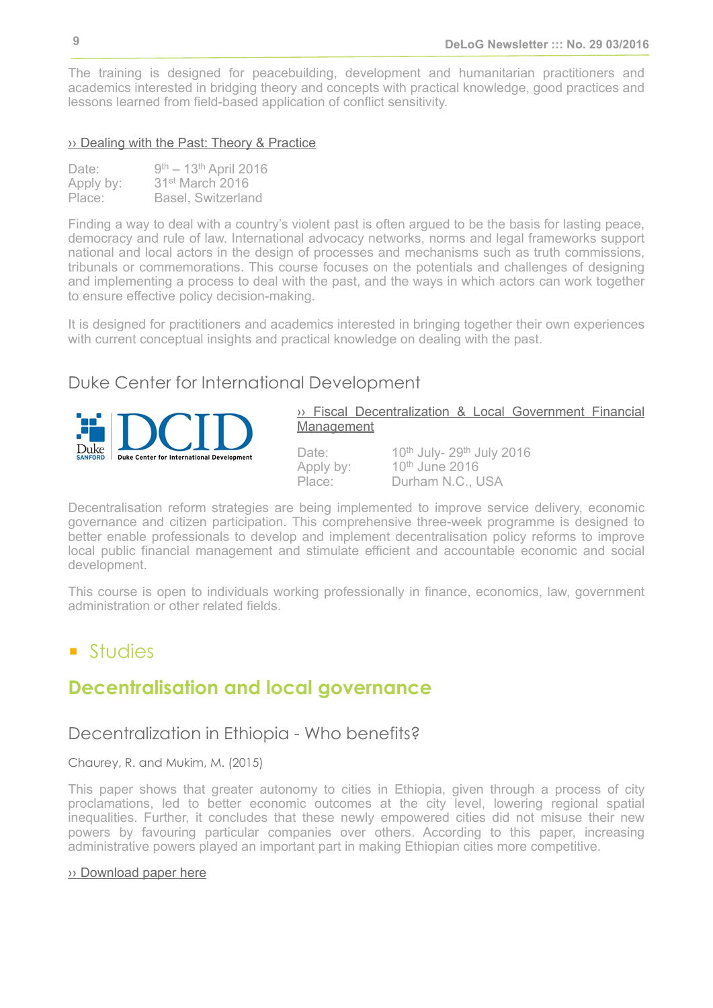The training is designed for peacebuilding, development and humanitarian practitioners and academics interested in bridging theory and concepts with practical knowledge, good practices and lessons learned from field-based application of conflict sensitivity.

#### ›› [Dealing with the Past: Theory & Practice](http://www.swisspeace.ch/courses/individual-courses/dealing-with-the-past.html)

| Date:     | $9^{th} - 13^{th}$ April 2016 |
|-----------|-------------------------------|
| Apply by: | 31 <sup>st</sup> March 2016   |
| Place:    | <b>Basel, Switzerland</b>     |

Finding a way to deal with a country's violent past is often argued to be the basis for lasting peace, democracy and rule of law. International advocacy networks, norms and legal frameworks support national and local actors in the design of processes and mechanisms such as truth commissions, tribunals or commemorations. This course focuses on the potentials and challenges of designing and implementing a process to deal with the past, and the ways in which actors can work together to ensure effective policy decision-making.

It is designed for practitioners and academics interested in bringing together their own experiences with current conceptual insights and practical knowledge on dealing with the past.

## <span id="page-8-1"></span>Duke Center for International Development



›› [Fiscal Decentralization & Local Government Financial](http://dcid.sanford.duke.edu/academics/exed/fiscal-decentralization) [Management](http://dcid.sanford.duke.edu/academics/exed/fiscal-decentralization)

Date: 10<sup>th</sup> July-29<sup>th</sup> July 2016 Apply by: 10<sup>th</sup> June 2016<br>Place: Durham N.C. I Durham N.C., USA

Decentralisation reform strategies are being implemented to improve service delivery, economic governance and citizen participation. This comprehensive three-week programme is designed to better enable professionals to develop and implement decentralisation policy reforms to improve local public financial management and stimulate efficient and accountable economic and social development.

This course is open to individuals working professionally in finance, economics, law, government administration or other related fields.

## <span id="page-8-0"></span>■ Studies

## **Decentralisation and local governance**

## Decentralization in Ethiopia - Who benefits?

#### Chaurey, R. and Mukim, M. (2015)

This paper shows that greater autonomy to cities in Ethiopia, given through a process of city proclamations, led to better economic outcomes at the city level, lowering regional spatial inequalities. Further, it concludes that these newly empowered cities did not misuse their new powers by favouring particular companies over others. According to this paper, increasing administrative powers played an important part in making Ethiopian cities more competitive.

#### [›› Download paper here](https://openknowledge.worldbank.org/handle/10986/23574)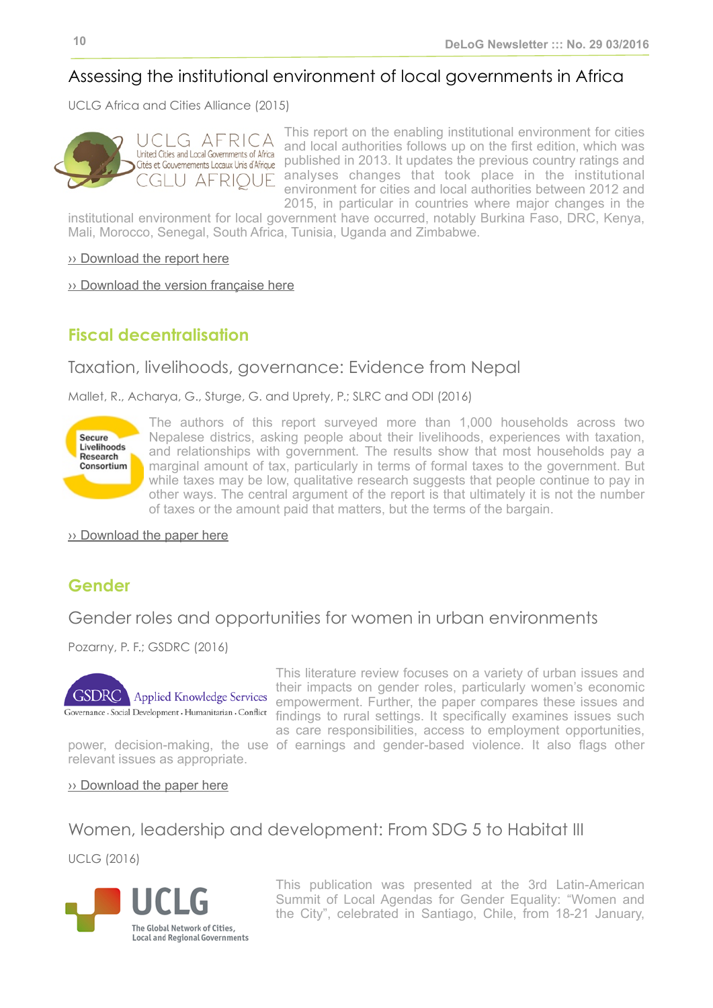## Assessing the institutional environment of local governments in Africa

UCLG Africa and Cities Alliance (2015)



This report on the enabling institutional environment for cities and local authorities follows up on the first edition, which was published in 2013. It updates the previous country ratings and analyses changes that took place in the institutional environment for cities and local authorities between 2012 and 2015, in particular in countries where major changes in the

institutional environment for local government have occurred, notably Burkina Faso, DRC, Kenya, Mali, Morocco, Senegal, South Africa, Tunisia, Uganda and Zimbabwe.

[›› Download the report here](http://www2.giz.de/wbf/4tDx9kw63gma/LG_africa2015.pdf)

[›› Download the version française here](http://www2.giz.de/wbf/4tDx9kw63gma/CL_afrique2015.pdf)

## <span id="page-9-0"></span>**Fiscal decentralisation**

## Taxation, livelihoods, governance: Evidence from Nepal

Mallet, R., Acharya, G., Sturge, G. and Uprety, P.; SLRC and ODI (2016)



The authors of this report surveyed more than 1,000 households across two Nepalese districs, asking people about their livelihoods, experiences with taxation, and relationships with government. The results show that most households pay a marginal amount of tax, particularly in terms of formal taxes to the government. But while taxes may be low, qualitative research suggests that people continue to pay in other ways. The central argument of the report is that ultimately it is not the number of taxes or the amount paid that matters, but the terms of the bargain.

›› [Download the paper here](http://www.securelivelihoods.org/publications_details.aspx?resourceid=391)

## <span id="page-9-1"></span>**Gender**

#### Gender roles and opportunities for women in urban environments

Pozarny, P. F.; GSDRC (2016)



This literature review focuses on a variety of urban issues and their impacts on gender roles, particularly women's economic empowerment. Further, the paper compares these issues and findings to rural settings. It specifically examines issues such as care responsibilities, access to employment opportunities,

relevant issues as appropriate.

power, decision-making, the use of earnings and gender-based violence. It also flags other

#### ›› [Download the paper here](http://www.gsdrc.org/wp-content/uploads/2016/01/HDQ1337.pdf)

## Women, leadership and development: From SDG 5 to Habitat III

UCLG (2016)



This publication was presented at the 3rd Latin-American Summit of Local Agendas for Gender Equality: "Women and the City", celebrated in Santiago, Chile, from 18-21 January,